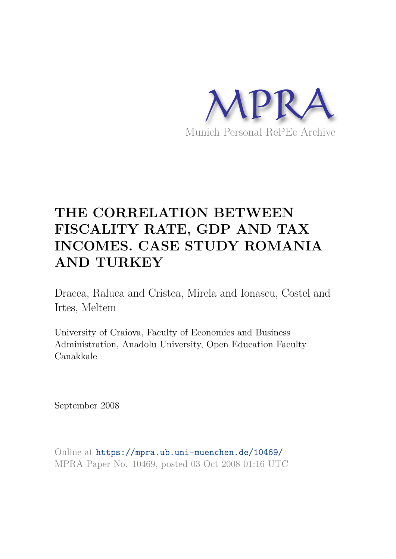

# **THE CORRELATION BETWEEN FISCALITY RATE, GDP AND TAX INCOMES. CASE STUDY ROMANIA AND TURKEY**

Dracea, Raluca and Cristea, Mirela and Ionascu, Costel and Irtes, Meltem

University of Craiova, Faculty of Economics and Business Administration, Anadolu University, Open Education Faculty Canakkale

September 2008

Online at https://mpra.ub.uni-muenchen.de/10469/ MPRA Paper No. 10469, posted 03 Oct 2008 01:16 UTC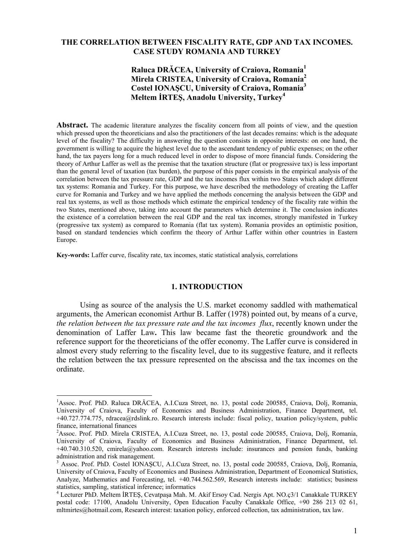## **THE CORRELATION BETWEEN FISCALITY RATE, GDP AND TAX INCOMES. CASE STUDY ROMANIA AND TURKEY**

## **Raluca DRĂCEA, University of Craiova, Romania<sup>1</sup> Mirela CRISTEA, University of Craiova, Romania<sup>2</sup> Costel IONAŞCU, University of Craiova, Romania<sup>3</sup> Meltem İRTEŞ, Anadolu University, Turkey<sup>4</sup>**

Abstract. The academic literature analyzes the fiscality concern from all points of view, and the question which pressed upon the theoreticians and also the practitioners of the last decades remains: which is the adequate level of the fiscality? The difficulty in answering the question consists in opposite interests: on one hand, the government is willing to acquire the highest level due to the ascendant tendency of public expenses; on the other hand, the tax payers long for a much reduced level in order to dispose of more financial funds. Considering the theory of Arthur Laffer as well as the premise that the taxation structure (flat or progressive tax) is less important than the general level of taxation (tax burden), the purpose of this paper consists in the empirical analysis of the correlation between the tax pressure rate, GDP and the tax incomes flux within two States which adopt different tax systems: Romania and Turkey. For this purpose, we have described the methodology of creating the Laffer curve for Romania and Turkey and we have applied the methods concerning the analysis between the GDP and real tax systems, as well as those methods which estimate the empirical tendency of the fiscality rate within the two States, mentioned above, taking into account the parameters which determine it. The conclusion indicates the existence of a correlation between the real GDP and the real tax incomes, strongly manifested in Turkey (progressive tax system) as compared to Romania (flat tax system). Romania provides an optimistic position, based on standard tendencies which confirm the theory of Arthur Laffer within other countries in Eastern Europe.

**Key-words:** Laffer curve, fiscality rate, tax incomes, static statistical analysis, correlations

 $\overline{a}$ 

## **1. INTRODUCTION**

Using as source of the analysis the U.S. market economy saddled with mathematical arguments, the American economist Arthur B. Laffer (1978) pointed out, by means of a curve, *the relation between the tax pressure rate and the tax incomes flux*, recently known under the denomination of Laffer Law**.** This law became fast the theoretic groundwork and the reference support for the theoreticians of the offer economy. The Laffer curve is considered in almost every study referring to the fiscality level, due to its suggestive feature, and it reflects the relation between the tax pressure represented on the abscissa and the tax incomes on the ordinate.

<sup>&</sup>lt;sup>1</sup>Assoc. Prof. PhD. Raluca DRĂCEA, A.I.Cuza Street, no. 13, postal code 200585, Craiova, Dolj, Romania, University of Craiova, Faculty of Economics and Business Administration, Finance Department, tel. +40.727.774.775, rdracea@rdslink.ro. Research interests include: fiscal policy, taxation policy/system, public finance, international finances

<sup>&</sup>lt;sup>2</sup>Assoc. Prof. PhD. Mirela CRISTEA, A.I.Cuza Street, no. 13, postal code 200585, Craiova, Dolj, Romania, University of Craiova, Faculty of Economics and Business Administration, Finance Department, tel. +40.740.310.520, cmirela@yahoo.com. Research interests include: insurances and pension funds, banking administration and risk management.

<sup>&</sup>lt;sup>3</sup> Assoc. Prof. PhD. Costel IONAȘCU, A.I.Cuza Street, no. 13, postal code 200585, Craiova, Dolj, Romania, University of Craiova, Faculty of Economics and Business Administration, Department of Economical Statistics, Analyze, Mathematics and Forecasting, tel. +40.744.562.569, Research interests include: statistics; business statistics, sampling, statistical inference; informatics

<sup>4</sup> Lecturer PhD. Meltem İRTEŞ, Cevatpaşa Mah. M. Akif Ersoy Cad. Nergis Apt. NO.ç3/1 Canakkale TURKEY postal code: 17100, Anadolu University, Open Education Faculty Canakkale Office, +90 286 213 02 61, mltmirtes@hotmail.com, Research interest: taxation policy, enforced collection, tax administration, tax law.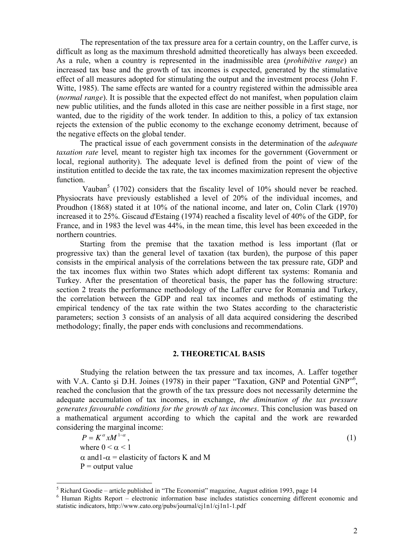The representation of the tax pressure area for a certain country, on the Laffer curve, is difficult as long as the maximum threshold admitted theoretically has always been exceeded. As a rule, when a country is represented in the inadmissible area (*prohibitive range*) an increased tax base and the growth of tax incomes is expected, generated by the stimulative effect of all measures adopted for stimulating the output and the investment process (John F. Witte, 1985). The same effects are wanted for a country registered within the admissible area (*normal range*). It is possible that the expected effect do not manifest, when population claim new public utilities, and the funds alloted in this case are neither possible in a first stage, nor wanted, due to the rigidity of the work tender. In addition to this, a policy of tax extansion rejects the extension of the public economy to the exchange economy detriment, because of the negative effects on the global tender.

The practical issue of each government consists in the determination of the *adequate taxation rate* level, meant to register high tax incomes for the government (Government or local, regional authority). The adequate level is defined from the point of view of the institution entitled to decide the tax rate, the tax incomes maximization represent the objective function.

Vauban<sup>5</sup> (1702) considers that the fiscality level of 10% should never be reached. Physiocrats have previously established a level of 20% of the individual incomes, and Proudhon (1868) stated it at 10% of the national income, and later on, Colin Clark (1970) increased it to 25%. Giscaud d'Estaing (1974) reached a fiscality level of 40% of the GDP, for France, and in 1983 the level was 44%, in the mean time, this level has been exceeded in the northern countries.

Starting from the premise that the taxation method is less important (flat or progressive tax) than the general level of taxation (tax burden), the purpose of this paper consists in the empirical analysis of the correlations between the tax pressure rate, GDP and the tax incomes flux within two States which adopt different tax systems: Romania and Turkey. After the presentation of theoretical basis, the paper has the following structure: section 2 treats the performance methodology of the Laffer curve for Romania and Turkey, the correlation between the GDP and real tax incomes and methods of estimating the empirical tendency of the tax rate within the two States according to the characteristic parameters; section 3 consists of an analysis of all data acquired considering the described methodology; finally, the paper ends with conclusions and recommendations.

## **2. THEORETICAL BASIS**

Studying the relation between the tax pressure and tax incomes, A. Laffer together with V.A. Canto și D.H. Joines (1978) in their paper "Taxation, GNP and Potential GNP"<sup>6</sup>, reached the conclusion that the growth of the tax pressure does not necessarily determine the adequate accumulation of tax incomes, in exchange, *the diminution of the tax pressure generates favourable conditions for the growth of tax incomes*. This conclusion was based on a mathematical argument according to which the capital and the work are rewarded considering the marginal income:

 $P = K^{\alpha} x M^{1-\alpha}$ , (1) where  $0 \leq \alpha \leq 1$  $\alpha$  and 1- $\alpha$  = elasticity of factors K and M  $P =$  output value

 5 Richard Goodie – article published in "The Economist" magazine, August edition 1993, page 14

<sup>&</sup>lt;sup>6</sup> Human Rights Report – electronic information base includes statistics concerning different economic and statistic indicators, http://www.cato.org/pubs/journal/cj1n1/cj1n1-1.pdf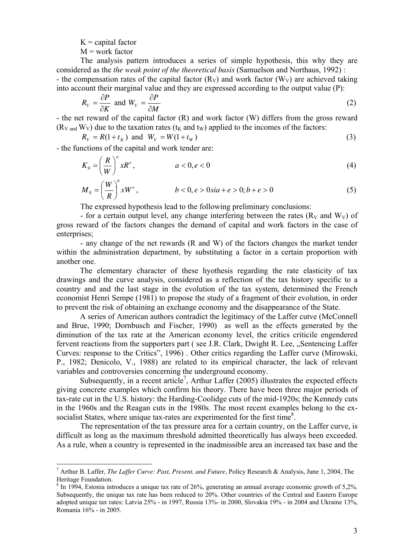$K =$  capital factor

$$
M = work factor
$$

 $\overline{a}$ 

The analysis pattern introduces a series of simple hypothesis, this why they are considered as the *the weak point of the theoretical basis* (Samuelson and Northaus, 1992) : - the compensation rates of the capital factor  $(R_V)$  and work factor  $(W_V)$  are achieved taking into account their marginal value and they are expressed according to the output value (P):

$$
R_V = \frac{\partial P}{\partial K} \text{ and } W_V = \frac{\partial P}{\partial M} \tag{2}
$$

- the net reward of the capital factor (R) and work factor (W) differs from the gross reward  $(R_{V \text{ and }} W_{V})$  due to the taxation rates ( $t_{K}$  and  $t_{W}$ ) applied to the incomes of the factors:

$$
R_V = R(1 + t_K)
$$
 and  $W_V = W(1 + t_W)$  (3)

- the functions of the capital and work tender are:

$$
K_0 = \left(\frac{R}{W}\right)^a x R^e, \qquad a < 0, e < 0 \tag{4}
$$

$$
M_0 = \left(\frac{W}{R}\right)^b xW^e, \qquad b < 0, e > 0 \sin + e > 0; b + e > 0 \tag{5}
$$

The expressed hypothesis lead to the following preliminary conclusions:

- for a certain output level, any change interfering between the rates  $(R_V \text{ and } W_V)$  of gross reward of the factors changes the demand of capital and work factors in the case of enterprises:

- any change of the net rewards (R and W) of the factors changes the market tender within the administration department, by substituting a factor in a certain proportion with another one.

The elementary character of these hyothesis regarding the rate elasticity of tax drawings and the curve analysis, considered as a reflection of the tax history specific to a country and and the last stage in the evolution of the tax system, determined the French economist Henri Sempe (1981) to propose the study of a fragment of their evolution, in order to prevent the risk of obtaining an exchange economy and the disappearance of the State.

 A series of American authors contradict the legitimacy of the Laffer cutve (McConnell and Brue, 1990; Dornbusch and Fischer, 1990) as well as the effects generated by the diminution of the tax rate at the American economy level, the critics criticile engendered fervent reactions from the supporters part (see J.R. Clark, Dwight R. Lee, "Sentencing Laffer Curves: response to the Critics", 1996) . Other critics regarding the Laffer curve (Mirowski, P., 1982; Denicolo, V., 1988) are related to its empirical character, the lack of relevant variables and controversies concerning the underground economy.

Subsequently, in a recent article<sup>7</sup>, Arthur Laffer (2005) illustrates the expected effects giving concrete examples which confirm his theory. There have been three major periods of tax-rate cut in the U.S. history: the Harding-Coolidge cuts of the mid-1920s; the Kennedy cuts in the 1960s and the Reagan cuts in the 1980s. The most recent examples belong to the exsocialist States, where unique tax-rates are experimented for the first time<sup>8</sup>.

The representation of the tax pressure area for a certain country, on the Laffer curve, is difficult as long as the maximum threshold admitted theoretically has always been exceeded. As a rule, when a country is represented in the inadmissible area an increased tax base and the

<sup>7</sup> Arthur B. Laffer, *The Laffer Curve: Past, Present, and Future*, Policy Research & Analysis, June 1, 2004, The Heritage Foundation.

<sup>&</sup>lt;sup>8</sup> In 1994, Estonia introduces a unique tax rate of 26%, generating an annual average economic growth of 5,2%. Subsequently, the unique tax rate has been reduced to 20%. Other countries of the Central and Eastern Europe adopted unique tax rates: Latvia 25% - in 1997, Russia 13%- in 2000, Slovakia 19% - in 2004 and Ukraine 13%, Romania 16% - in 2005.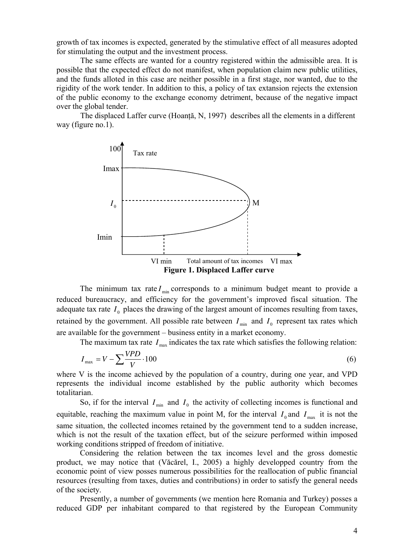growth of tax incomes is expected, generated by the stimulative effect of all measures adopted for stimulating the output and the investment process.

The same effects are wanted for a country registered within the admissible area. It is possible that the expected effect do not manifest, when population claim new public utilities, and the funds alloted in this case are neither possible in a first stage, nor wanted, due to the rigidity of the work tender. In addition to this, a policy of tax extansion rejects the extension of the public economy to the exchange economy detriment, because of the negative impact over the global tender.

The displaced Laffer curve (Hoanță, N, 1997) describes all the elements in a different way (figure no.1).



The minimum tax rate  $I_{\text{min}}$  corresponds to a minimum budget meant to provide a reduced bureaucracy, and efficiency for the government's improved fiscal situation. The adequate tax rate  $I_0$  places the drawing of the largest amount of incomes resulting from taxes, retained by the government. All possible rate between  $I_{\min}$  and  $I_0$  represent tax rates which are available for the government – business entity in a market economy.

The maximum tax rate  $I_{\text{max}}$  indicates the tax rate which satisfies the following relation:

$$
I_{\text{max}} = V - \sum_{V} \frac{VPD}{V} \cdot 100
$$
\n<sup>(6)</sup>

where V is the income achieved by the population of a country, during one year, and VPD represents the individual income established by the public authority which becomes totalitarian.

So, if for the interval  $I_{\min}$  and  $I_0$  the activity of collecting incomes is functional and equitable, reaching the maximum value in point M, for the interval  $I_0$  and  $I_{\text{max}}$  it is not the same situation, the collected incomes retained by the government tend to a sudden increase, which is not the result of the taxation effect, but of the seizure performed within imposed working conditions stripped of freedom of initiative.

Considering the relation between the tax incomes level and the gross domestic product, we may notice that (Văcărel, I., 2005) a highly developped country from the economic point of view posses numerous possibilities for the reallocation of public financial resources (resulting from taxes, duties and contributions) in order to satisfy the general needs of the society.

Presently, a number of governments (we mention here Romania and Turkey) posses a reduced GDP per inhabitant compared to that registered by the European Community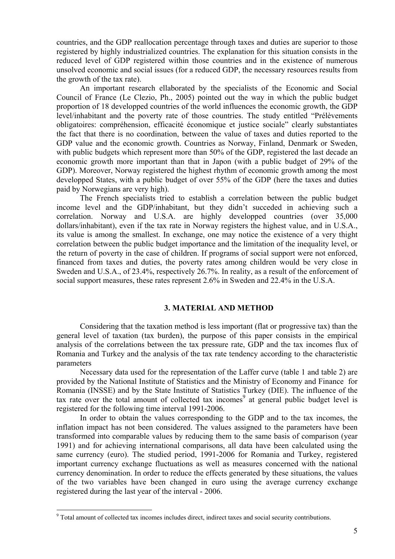countries, and the GDP reallocation percentage through taxes and duties are superior to those registered by highly industrialized countries. The explanation for this situation consists in the reduced level of GDP registered within those countries and in the existence of numerous unsolved economic and social issues (for a reduced GDP, the necessary resources results from the growth of the tax rate).

An important research ellaborated by the specialists of the Economic and Social Council of France (Le Clezio, Ph., 2005) pointed out the way in which the public budget proportion of 18 developped countries of the world influences the economic growth, the GDP level/inhabitant and the poverty rate of those countries. The study entitled "Prélèvements obligatoires: compréhension, efficacité économique et justice sociale" clearly substantiates the fact that there is no coordination, between the value of taxes and duties reported to the GDP value and the economic growth. Countries as Norway, Finland, Denmark or Sweden, with public budgets which represent more than 50% of the GDP, registered the last decade an economic growth more important than that in Japon (with a public budget of 29% of the GDP). Moreover, Norway registered the highest rhythm of economic growth among the most developped States, with a public budget of over 55% of the GDP (here the taxes and duties paid by Norwegians are very high).

The French specialists tried to establish a correlation between the public budget income level and the GDP/inhabitant, but they didn't succeded in achieving such a correlation. Norway and U.S.A. are highly developped countries (over 35,000 dollars/inhabitant), even if the tax rate in Norway registers the highest value, and in U.S.A., its value is among the smallest. In exchange, one may notice the existence of a very thight correlation between the public budget importance and the limitation of the inequality level, or the return of poverty in the case of children. If programs of social support were not enforced, financed from taxes and duties, the poverty rates among children would be very close in Sweden and U.S.A., of 23.4%, respectively 26.7%. In reality, as a result of the enforcement of social support measures, these rates represent 2.6% in Sweden and 22.4% in the U.S.A.

#### **3. MATERIAL AND METHOD**

Considering that the taxation method is less important (flat or progressive tax) than the general level of taxation (tax burden), the purpose of this paper consists in the empirical analysis of the correlations between the tax pressure rate, GDP and the tax incomes flux of Romania and Turkey and the analysis of the tax rate tendency according to the characteristic parameters

Necessary data used for the representation of the Laffer curve (table 1 and table 2) are provided by the National Institute of Statistics and the Ministry of Economy and Finance for Romania (INSSE) and by the State Institute of Statistics Turkey (DIE). The influence of the tax rate over the total amount of collected tax incomes<sup>9</sup> at general public budget level is registered for the following time interval 1991-2006.

In order to obtain the values corresponding to the GDP and to the tax incomes, the inflation impact has not been considered. The values assigned to the parameters have been transformed into comparable values by reducing them to the same basis of comparison (year 1991) and for achieving international comparisons, all data have been calculated using the same currency (euro). The studied period, 1991-2006 for Romania and Turkey, registered important currency exchange fluctuations as well as measures concerned with the national currency denomination. In order to reduce the effects generated by these situations, the values of the two variables have been changed in euro using the average currency exchange registered during the last year of the interval - 2006.

<sup>&</sup>lt;sup>9</sup> Total amount of collected tax incomes includes direct, indirect taxes and social security contributions.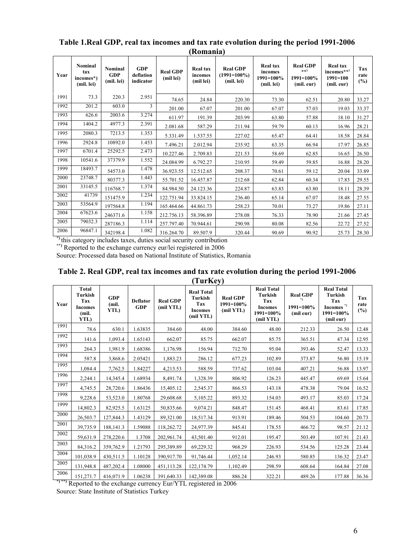| Year | Nominal<br>tax<br>incomes*)<br>(mil. lei) | Nominal<br><b>GDP</b><br>(mil. lei) | <b>GDP</b><br>deflation<br>indicator | <b>Real GDP</b><br>(mil lei) | <b>Real tax</b><br>incomes<br>(mil lei) | <b>Real GDP</b><br>$(1991=100\%)$<br>(mil. lei) | <b>Real tax</b><br>incomes<br>1991=100%<br>(mil. lei) | <b>Real GDP</b><br>$_{**}$ )<br>1991=100%<br>(mil. eur) | <b>Real tax</b><br>incomes**)<br>$1991 = 100$<br>(mil. eur) | Tax<br>rate<br>$(\%)$ |
|------|-------------------------------------------|-------------------------------------|--------------------------------------|------------------------------|-----------------------------------------|-------------------------------------------------|-------------------------------------------------------|---------------------------------------------------------|-------------------------------------------------------------|-----------------------|
| 1991 | 73.3                                      | 220.3                               | 2.951                                | 74.65                        | 24.84                                   | 220.30                                          | 73.30                                                 | 62.51                                                   | 20.80                                                       | 33.27                 |
| 1992 | 201.2                                     | 603.0                               | 3                                    | 201.00                       | 67.07                                   | 201.00                                          | 67.07                                                 | 57.03                                                   | 19.03                                                       | 33.37                 |
| 1993 | 626.6                                     | 2003.6                              | 3.274                                | 611.97                       | 191.39                                  | 203.99                                          | 63.80                                                 | 57.88                                                   | 18.10                                                       | 31.27                 |
| 1994 | 1404.2                                    | 4977.3                              | 2.391                                | 2.081.68                     | 587.29                                  | 211.94                                          | 59.79                                                 | 60.13                                                   | 16.96                                                       | 28.21                 |
| 1995 | 2080.3                                    | 7213.5                              | 1.353                                | 5.331.49                     | 1.537.55                                | 227.02                                          | 65.47                                                 | 64.41                                                   | 18.58                                                       | 28.84                 |
| 1996 | 2924.8                                    | 10892.0                             | 1.453                                | 7.496.21                     | 2.012.94                                | 235.92                                          | 63.35                                                 | 66.94                                                   | 17.97                                                       | 26.85                 |
| 1997 | 6701.4                                    | 25292.5                             | 2.473                                | 10.227.46                    | 2.709.83                                | 221.53                                          | 58.69                                                 | 62.85                                                   | 16.65                                                       | 26.50                 |
| 1998 | 10541.6                                   | 37379.9                             | 1.552                                | 24.084.99                    | 6.792.27                                | 210.95                                          | 59.49                                                 | 59.85                                                   | 16.88                                                       | 28.20                 |
| 1999 | 18493.7                                   | 54573.0                             | 1.478                                | 36.923.55                    | 12.512.65                               | 208.37                                          | 70.61                                                 | 59.12                                                   | 20.04                                                       | 33.89                 |
| 2000 | 23748.7                                   | 80377.3                             | 1.443                                | 55.701.52                    | 16.457.87                               | 212.68                                          | 62.84                                                 | 60.34                                                   | 17.83                                                       | 29.55                 |
| 2001 | 33145.5                                   | 116768.7                            | 1.374                                | 84.984.50                    | 24.123.36                               | 224.87                                          | 63.83                                                 | 63.80                                                   | 18.11                                                       | 28.39                 |
| 2002 | 41739                                     | 151475.9                            | 1.234                                | 122.751.94                   | 33.824.15                               | 236.40                                          | 65.14                                                 | 67.07                                                   | 18.48                                                       | 27.55                 |
| 2003 | 53564.9                                   | 197564.8                            | 1.194                                | 165.464.66                   | 44.861.73                               | 258.23                                          | 70.01                                                 | 73.27                                                   | 19.86                                                       | 27.11                 |
| 2004 | 67623.6                                   | 246371.6                            | 1.158                                | 212.756.13                   | 58.396.89                               | 278.08                                          | 76.33                                                 | 78.90                                                   | 21.66                                                       | 27.45                 |
| 2005 | 79032.3                                   | 287186.3                            | 1.114                                | 257.797.40                   | 70.944.61                               | 290.98                                          | 80.08                                                 | 82.56                                                   | 22.72                                                       | 27.52                 |
| 2006 | 96847.1                                   | 342198.4                            | 1.082                                | 316.264.70                   | 89.507.9                                | 320.44                                          | 90.69                                                 | 90.92                                                   | 25.73                                                       | 28.30                 |

## **Table 1.Real GDP, real tax incomes and tax rate evolution during the period 1991-2006 (Romania)**

**\*)** this category includes taxes, duties social security contribution

**\*\*)** Reported to the exchange currency eur/lei registered in 2006

Source: Processed data based on National Institute of Statistics, Romania

## **Table 2. Real GDP, real tax incomes and tax rate evolution during the period 1991-2006 (TurKey)**

| Year | <b>Total</b><br><b>Turkish</b><br>Tax<br>Incomes<br>(mil.<br>YTL) | <b>GDP</b><br>(mil.<br>YTL) | <b>Deflator</b><br><b>GDP</b> | <b>Real GDP</b><br>(mil YTL) | <b>Real Total</b><br><b>Turkish</b><br>Tax<br><b>Incomes</b><br>(mil YTL) | <b>Real GDP</b><br>1991=100%<br>(mil YTL) | <b>Real Total</b><br><b>Turkish</b><br>Tax<br><b>Incomes</b><br>1991=100%<br>(mil YTL) | <b>Real GDP</b><br>*)<br>1991=100%<br>(mil eur) | <b>Real Total</b><br><b>Turkish</b><br>Tax<br>Incomes $^\ast{}$<br>1991=100%<br>(mil eur) | Tax<br>rate<br>(%) |
|------|-------------------------------------------------------------------|-----------------------------|-------------------------------|------------------------------|---------------------------------------------------------------------------|-------------------------------------------|----------------------------------------------------------------------------------------|-------------------------------------------------|-------------------------------------------------------------------------------------------|--------------------|
| 1991 | 78.6                                                              | 630.1                       | 1.63835                       | 384.60                       | 48.00                                                                     | 384.60                                    | 48.00                                                                                  | 212.33                                          | 26.50                                                                                     | 12.48              |
| 1992 | 141.6                                                             | 1,093.4                     | 1.65143                       | 662.07                       | 85.75                                                                     | 662.07                                    | 85.75                                                                                  | 365.51                                          | 47.34                                                                                     | 12.95              |
| 1993 | 264.3                                                             | 1,981.9                     | 1.68386                       | 1,176.98                     | 156.94                                                                    | 712.70                                    | 95.04                                                                                  | 393.46                                          | 52.47                                                                                     | 13.33              |
| 1994 | 587.8                                                             | 3,868.6                     | 2.05421                       | 1,883.23                     | 286.12                                                                    | 677.23                                    | 102.89                                                                                 | 373.87                                          | 56.80                                                                                     | 15.19              |
| 1995 | 1,084.4                                                           | 7,762.5                     | 1.84227                       | 4,213.53                     | 588.59                                                                    | 737.62                                    | 103.04                                                                                 | 407.21                                          | 56.88                                                                                     | 13.97              |
| 1996 | 2,244.1                                                           | 14,345.4                    | 1.68934                       | 8,491.74                     | 1,328.39                                                                  | 806.92                                    | 126.23                                                                                 | 445.47                                          | 69.69                                                                                     | 15.64              |
| 1997 | 4,745.5                                                           | 28,720.6                    | 1.86436                       | 15,405.12                    | 2,545.37                                                                  | 866.53                                    | 143.18                                                                                 | 478.38                                          | 79.04                                                                                     | 16.52              |
| 1998 | 9,228.6                                                           | 53,523.0                    | 1.80768                       | 29,608.68                    | 5,105.22                                                                  | 893.32                                    | 154.03                                                                                 | 493.17                                          | 85.03                                                                                     | 17.24              |
| 1999 | 14,802.3                                                          | 82,925.5                    | 1.63125                       | 50,835.66                    | 9,074.21                                                                  | 848.47                                    | 151.45                                                                                 | 468.41                                          | 83.61                                                                                     | 17.85              |
| 2000 | 26,503.7                                                          | 127,844.3                   | 1.43129                       | 89,321.00                    | 18,517.34                                                                 | 913.91                                    | 189.46                                                                                 | 504.53                                          | 104.60                                                                                    | 20.73              |
| 2001 | 39,735.9                                                          | 188, 141.3                  | 1.59088                       | 118,262.72                   | 24,977.39                                                                 | 845.41                                    | 178.55                                                                                 | 466.72                                          | 98.57                                                                                     | 21.12              |
| 2002 | 59,631.9                                                          | 278,220.6                   | 1.3708                        | 202,961.74                   | 43,501.40                                                                 | 912.01                                    | 195.47                                                                                 | 503.49                                          | 107.91                                                                                    | 21.43              |
| 2003 | 84,316.2                                                          | 359,762.9                   | 1.21793                       | 295,389.89                   | 69,229.32                                                                 | 968.29                                    | 226.93                                                                                 | 534.56                                          | 125.28                                                                                    | 23.44              |
| 2004 | 101,038.9                                                         | 430,511.5                   | 1.10128                       | 390,917.70                   | 91,746.44                                                                 | 1,052.14                                  | 246.93                                                                                 | 580.85                                          | 136.32                                                                                    | 23.47              |
| 2005 | 131,948.8                                                         | 487,202.4                   | 1.08000                       | 451,113.28                   | 122,174.79                                                                | 1,102.49                                  | 298.59                                                                                 | 608.64                                          | 164.84                                                                                    | 27.08              |
| 2006 | 151,271.7                                                         | 416,071.9                   | 1.06238                       | 391,640.33                   | 142,389.08                                                                | 886.24                                    | 322.21                                                                                 | 489.26                                          | 177.88                                                                                    | 36.36              |

**\*) \*\*)** Reported to the exchange currency Eur/YTL registered in 2006

Source: State Institute of Statistics Turkey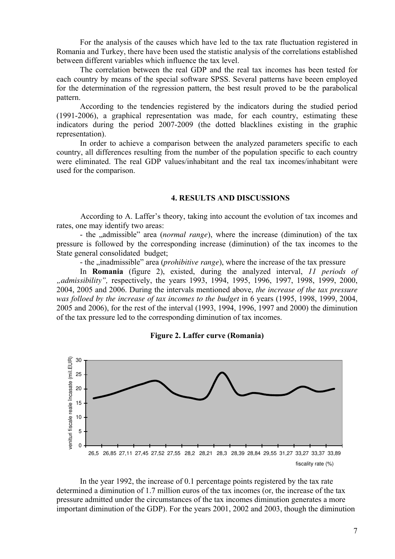For the analysis of the causes which have led to the tax rate fluctuation registered in Romania and Turkey, there have been used the statistic analysis of the correlations established between different variables which influence the tax level.

The correlation between the real GDP and the real tax incomes has been tested for each country by means of the special software SPSS. Several patterns have beeen employed for the determination of the regression pattern, the best result proved to be the parabolical pattern.

According to the tendencies registered by the indicators during the studied period (1991-2006), a graphical representation was made, for each country, estimating these indicators during the period 2007-2009 (the dotted blacklines existing in the graphic representation).

In order to achieve a comparison between the analyzed parameters specific to each country, all differences resulting from the number of the population specific to each country were eliminated. The real GDP values/inhabitant and the real tax incomes/inhabitant were used for the comparison.

#### **4. RESULTS AND DISCUSSIONS**

According to A. Laffer's theory, taking into account the evolution of tax incomes and rates, one may identify two areas:

- the <sub>"admissible" area (*normal range*), where the increase (diminution) of the tax</sub> pressure is followed by the corresponding increase (diminution) of the tax incomes to the State general consolidated budget;

- the <sub>u</sub>inadmissible" area (*prohibitive range*), where the increase of the tax pressure

In **Romania** (figure 2), existed, during the analyzed interval, *11 periods of "admissibility",* respectively, the years 1993, 1994, 1995, 1996, 1997, 1998, 1999, 2000, 2004, 2005 and 2006. During the intervals mentioned above, *the increase of the tax pressure was folloed by the increase of tax incomes to the budget* in 6 years (1995, 1998, 1999, 2004, 2005 and 2006), for the rest of the interval (1993, 1994, 1996, 1997 and 2000) the diminution of the tax pressure led to the corresponding diminution of tax incomes.



**Figure 2. Laffer curve (Romania)** 

In the year 1992, the increase of 0.1 percentage points registered by the tax rate determined a diminution of 1.7 million euros of the tax incomes (or, the increase of the tax pressure admitted under the circumstances of the tax incomes diminution generates a more important diminution of the GDP). For the years 2001, 2002 and 2003, though the diminution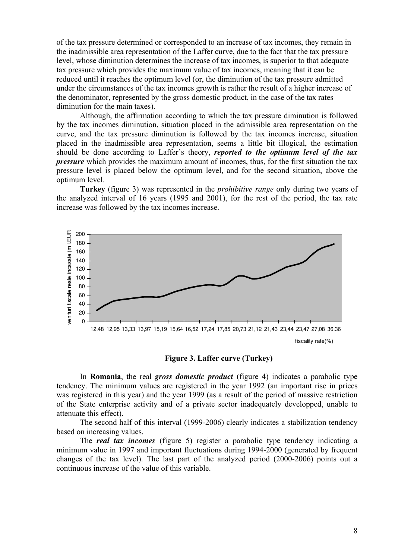of the tax pressure determined or corresponded to an increase of tax incomes, they remain in the inadmissible area representation of the Laffer curve, due to the fact that the tax pressure level, whose diminution determines the increase of tax incomes, is superior to that adequate tax pressure which provides the maximum value of tax incomes, meaning that it can be reduced until it reaches the optimum level (or, the diminution of the tax pressure admitted under the circumstances of the tax incomes growth is rather the result of a higher increase of the denominator, represented by the gross domestic product, in the case of the tax rates diminution for the main taxes).

Although, the affirmation according to which the tax pressure diminution is followed by the tax incomes diminution, situation placed in the admissible area representation on the curve, and the tax pressure diminution is followed by the tax incomes increase, situation placed in the inadmissible area representation, seems a little bit illogical, the estimation should be done according to Laffer's theory, *reported to the optimum level of the tax pressure* which provides the maximum amount of incomes, thus, for the first situation the tax pressure level is placed below the optimum level, and for the second situation, above the optimum level.

**Turkey** (figure 3) was represented in the *prohibitive range* only during two years of the analyzed interval of 16 years (1995 and 2001), for the rest of the period, the tax rate increase was followed by the tax incomes increase.



**Figure 3. Laffer curve (Turkey)** 

 In **Romania**, the real *gross domestic product* (figure 4) indicates a parabolic type tendency. The minimum values are registered in the year 1992 (an important rise in prices was registered in this year) and the year 1999 (as a result of the period of massive restriction of the State enterprise activity and of a private sector inadequately developped, unable to attenuate this effect).

The second half of this interval (1999-2006) clearly indicates a stabilization tendency based on increasing values.

The *real tax incomes* (figure 5) register a parabolic type tendency indicating a minimum value in 1997 and important fluctuations during 1994-2000 (generated by frequent changes of the tax level). The last part of the analyzed period (2000-2006) points out a continuous increase of the value of this variable.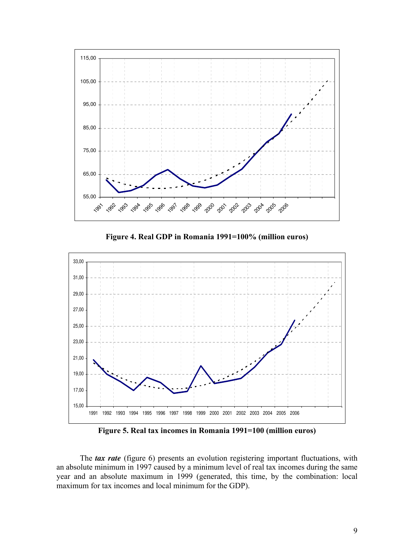

**Figure 4. Real GDP in Romania 1991=100% (million euros)** 



**Figure 5. Real tax incomes in Romania 1991=100 (million euros)** 

The *tax rate* (figure 6) presents an evolution registering important fluctuations, with an absolute minimum in 1997 caused by a minimum level of real tax incomes during the same year and an absolute maximum in 1999 (generated, this time, by the combination: local maximum for tax incomes and local minimum for the GDP).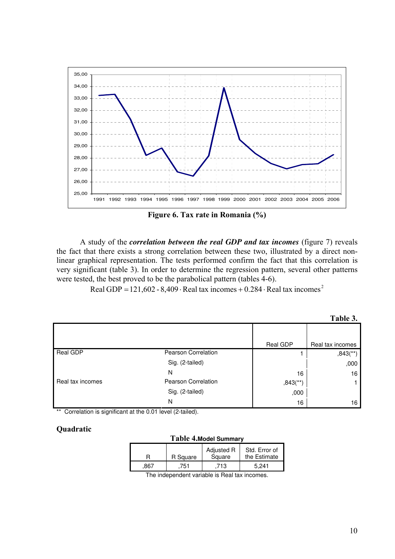

**Figure 6. Tax rate in Romania (%)** 

A study of the *correlation between the real GDP and tax incomes* (figure 7) reveals the fact that there exists a strong correlation between these two, illustrated by a direct nonlinear graphical representation. The tests performed confirm the fact that this correlation is very significant (table 3). In order to determine the regression pattern, several other patterns were tested, the best proved to be the parabolical pattern (tables 4-6).

Real GDP =121,602 - 8,409 ⋅ Real tax incomes + 0.284 ⋅ Real tax incomes<sup>2</sup>

|                  |                            |                        | Table 3.               |
|------------------|----------------------------|------------------------|------------------------|
|                  |                            |                        |                        |
|                  |                            | Real GDP               | Real tax incomes       |
| Real GDP         | Pearson Correlation        |                        | $,843$ <sup>**</sup> ) |
|                  | Sig. (2-tailed)            |                        | ,000                   |
|                  | N                          | 16                     | 16                     |
| Real tax incomes | <b>Pearson Correlation</b> | $,843$ <sup>**</sup> ) |                        |
|                  | Sig. (2-tailed)            | ,000                   |                        |
|                  | N                          | 16                     | 16                     |

\*\* Correlation is significant at the 0.01 level (2-tailed).

# **Quadratic**

| Table 4. Model Summary |          |                                               |                               |  |  |  |  |  |
|------------------------|----------|-----------------------------------------------|-------------------------------|--|--|--|--|--|
| н                      | R Square | Adjusted R<br>Square                          | Std. Error of<br>the Estimate |  |  |  |  |  |
| 867                    | .751     | .713                                          | 5.241                         |  |  |  |  |  |
|                        |          | The independent variable in Deal textingement |                               |  |  |  |  |  |

The independent variable is Real tax incomes.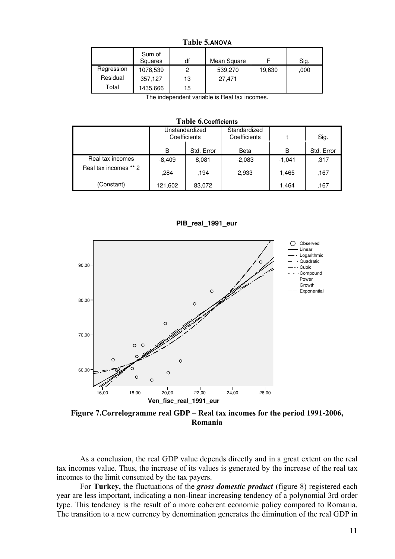| .          |                   |    |             |        |      |  |  |  |  |
|------------|-------------------|----|-------------|--------|------|--|--|--|--|
|            | Sum of<br>Squares | df | Mean Square |        | Sig. |  |  |  |  |
| Regression | 1078,539          | 2  | 539,270     | 19,630 | .000 |  |  |  |  |
| Residual   | 357,127           | 13 | 27.471      |        |      |  |  |  |  |
| Total      | 1435,666          | 15 |             |        |      |  |  |  |  |

**Table 5.ANOVA** 

The independent variable is Real tax incomes.

| Table 6.Coefficients  |                                |            |                              |          |            |  |  |  |  |
|-----------------------|--------------------------------|------------|------------------------------|----------|------------|--|--|--|--|
|                       | Unstandardized<br>Coefficients |            | Standardized<br>Coefficients |          | Sig.       |  |  |  |  |
|                       | в                              | Std. Error | Beta                         | В        | Std. Error |  |  |  |  |
| Real tax incomes      | $-8,409$                       | 8,081      | $-2,083$                     | $-1,041$ | ,317       |  |  |  |  |
| Real tax incomes ** 2 | .284                           | .194       | 2,933                        | 1,465    | ,167       |  |  |  |  |
| (Constant)            | 121,602                        | 83,072     |                              | 1,464    | ,167       |  |  |  |  |

**PIB\_real\_1991\_eur**



**Figure 7.Correlogramme real GDP – Real tax incomes for the period 1991-2006, Romania**

 As a conclusion, the real GDP value depends directly and in a great extent on the real tax incomes value. Thus, the increase of its values is generated by the increase of the real tax incomes to the limit consented by the tax payers.

For **Turkey,** the fluctuations of the *gross domestic product* (figure 8) registered each year are less important, indicating a non-linear increasing tendency of a polynomial 3rd order type. This tendency is the result of a more coherent economic policy compared to Romania. The transition to a new currency by denomination generates the diminution of the real GDP in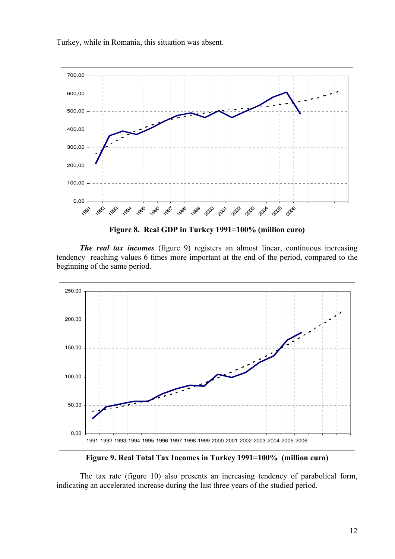Turkey, while in Romania, this situation was absent.



**Figure 8. Real GDP in Turkey 1991=100% (million euro)** 

*The real tax incomes* (figure 9) registers an almost linear, continuous increasing tendency reaching values 6 times more important at the end of the period, compared to the beginning of the same period.



**Figure 9. Real Total Tax Incomes in Turkey 1991=100% (million euro)** 

 The tax rate (figure 10) also presents an increasing tendency of parabolical form, indicating an accelerated increase during the last three years of the studied period.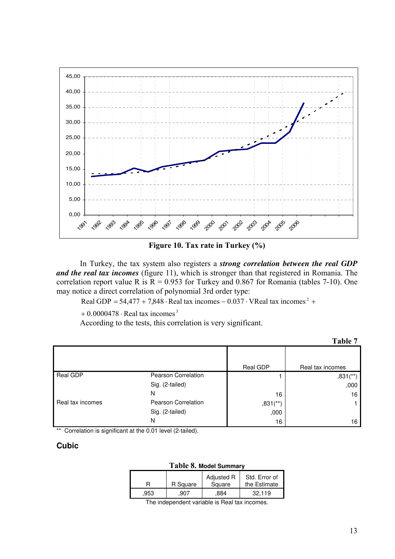

**Figure 10. Tax rate in Turkey (%)** 

In Turkey, the tax system also registers a *strong correlation between the real GDP and the real tax incomes* (figure 11), which is stronger than that registered in Romania. The correlation report value R is  $R = 0.953$  for Turkey and 0.867 for Romania (tables 7-10). One may notice a direct correlation of polynomial 3rd order type:

Real GDP =  $54,477 + 7,848 \cdot$  Real tax incomes  $-0.037 \cdot$  VReal tax incomes  $^{2}$  +

 $+0.0000478 \cdot$  Real tax incomes<sup>3</sup>

According to the tests, this correlation is very significant.

|                  |                            |                        | Table 7                |
|------------------|----------------------------|------------------------|------------------------|
|                  |                            | Real GDP               | Real tax incomes       |
| Real GDP         | <b>Pearson Correlation</b> |                        | $,831$ <sup>**</sup> ) |
|                  | Sig. (2-tailed)            |                        | ,000                   |
|                  | N                          | 16                     | 16                     |
| Real tax incomes | Pearson Correlation        | $,831$ <sup>**</sup> ) |                        |
|                  | Sig. (2-tailed)            | ,000                   |                        |
|                  | N                          | 16                     | 16                     |

\*\* Correlation is significant at the 0.01 level (2-tailed).

## **Cubic**

| Table 8. Model Summary |          |                      |                               |  |  |  |  |  |
|------------------------|----------|----------------------|-------------------------------|--|--|--|--|--|
| R                      | R Square | Adjusted R<br>Square | Std. Error of<br>the Estimate |  |  |  |  |  |
| .953                   | .907     | .884                 | 32.119                        |  |  |  |  |  |

The independent variable is Real tax incomes.

13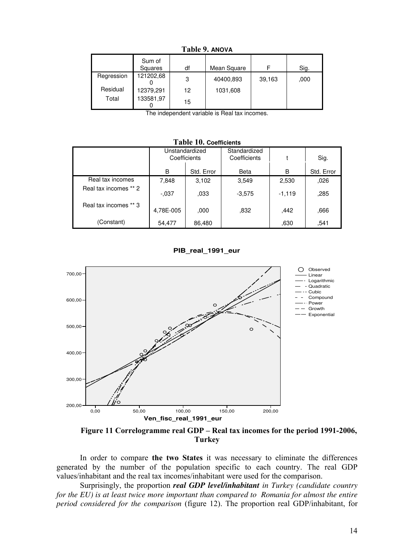|            | Sum of<br>Squares | df | Mean Square |        | Sig. |  |  |  |  |
|------------|-------------------|----|-------------|--------|------|--|--|--|--|
| Regression | 121202,68         | 3  | 40400,893   | 39,163 | ,000 |  |  |  |  |
| Residual   | 12379,291         | 12 | 1031,608    |        |      |  |  |  |  |
| Total      | 133581,97         | 15 |             |        |      |  |  |  |  |

**Table 9. ANOVA** 

The independent variable is Real tax incomes.

#### **Table 10. Coefficients**

|                       | Unstandardized<br>Coefficients |            | Standardized<br>Coefficients |          | Sig.       |  |  |  |
|-----------------------|--------------------------------|------------|------------------------------|----------|------------|--|--|--|
|                       | B                              | Std. Error | Beta                         | B        | Std. Error |  |  |  |
| Real tax incomes      | 7,848                          | 3,102      | 3,549                        | 2,530    | ,026       |  |  |  |
| Real tax incomes ** 2 | $-.037$                        | .033       | $-3,575$                     | $-1,119$ | ,285       |  |  |  |
| Real tax incomes ** 3 | 4,78E-005                      | ,000       | .832                         | ,442     | ,666       |  |  |  |
| (Constant)            | 54,477                         | 86,480     |                              | ,630     | .541       |  |  |  |

#### **PIB\_real\_1991\_eur**



**Figure 11 Correlogramme real GDP – Real tax incomes for the period 1991-2006, Turkey**

In order to compare **the two States** it was necessary to eliminate the differences generated by the number of the population specific to each country. The real GDP values/inhabitant and the real tax incomes/inhabitant were used for the comparison.

Surprisingly, the proportion *real GDP level/inhabitant in Turkey (candidate country for the EU) is at least twice more important than compared to Romania for almost the entire period considered for the comparison* (figure 12). The proportion real GDP/inhabitant, for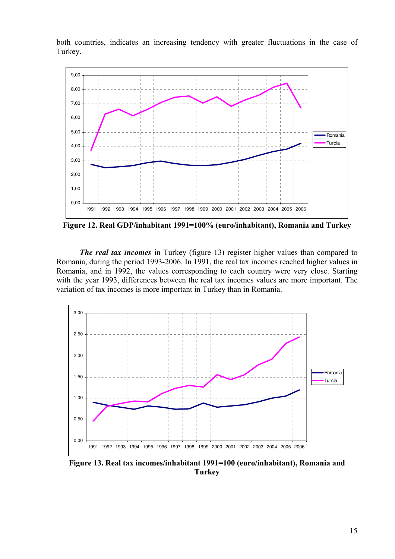both countries, indicates an increasing tendency with greater fluctuations in the case of Turkey.



**Figure 12. Real GDP/inhabitant 1991=100% (euro/inhabitant), Romania and Turkey** 

*The real tax incomes* in Turkey (figure 13) register higher values than compared to Romania, during the period 1993-2006. In 1991, the real tax incomes reached higher values in Romania, and in 1992, the values corresponding to each country were very close. Starting with the year 1993, differences between the real tax incomes values are more important. The variation of tax incomes is more important in Turkey than in Romania.



**Figure 13. Real tax incomes/inhabitant 1991=100 (euro/inhabitant), Romania and Turkey**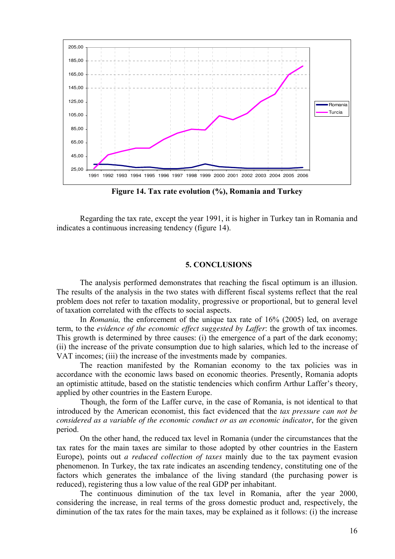

**Figure 14. Tax rate evolution (%), Romania and Turkey** 

Regarding the tax rate, except the year 1991, it is higher in Turkey tan in Romania and indicates a continuous increasing tendency (figure 14).

## **5. CONCLUSIONS**

The analysis performed demonstrates that reaching the fiscal optimum is an illusion. The results of the analysis in the two states with different fiscal systems reflect that the real problem does not refer to taxation modality, progressive or proportional, but to general level of taxation correlated with the effects to social aspects.

In *Romania,* the enforcement of the unique tax rate of 16% (2005) led, on average term, to the *evidence of the economic effect suggested by Laffer*: the growth of tax incomes. This growth is determined by three causes: (i) the emergence of a part of the dark economy; (ii) the increase of the private consumption due to high salaries, which led to the increase of VAT incomes; (iii) the increase of the investments made by companies.

The reaction manifested by the Romanian economy to the tax policies was in accordance with the economic laws based on economic theories. Presently, Romania adopts an optimistic attitude, based on the statistic tendencies which confirm Arthur Laffer's theory, applied by other countries in the Eastern Europe.

Though, the form of the Laffer curve, in the case of Romania, is not identical to that introduced by the American economist, this fact evidenced that the *tax pressure can not be considered as a variable of the economic conduct or as an economic indicator*, for the given period.

On the other hand, the reduced tax level in Romania (under the circumstances that the tax rates for the main taxes are similar to those adopted by other countries in the Eastern Europe), points out *a reduced collection of taxes* mainly due to the tax payment evasion phenomenon. In Turkey, the tax rate indicates an ascending tendency, constituting one of the factors which generates the imbalance of the living standard (the purchasing power is reduced), registering thus a low value of the real GDP per inhabitant.

The continuous diminution of the tax level in Romania, after the year 2000, considering the increase, in real terms of the gross domestic product and, respectively, the diminution of the tax rates for the main taxes, may be explained as it follows: (i) the increase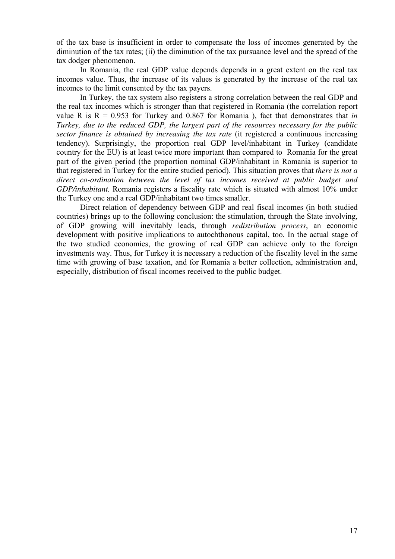of the tax base is insufficient in order to compensate the loss of incomes generated by the diminution of the tax rates; (ii) the diminution of the tax pursuance level and the spread of the tax dodger phenomenon.

In Romania, the real GDP value depends depends in a great extent on the real tax incomes value. Thus, the increase of its values is generated by the increase of the real tax incomes to the limit consented by the tax payers.

In Turkey, the tax system also registers a strong correlation between the real GDP and the real tax incomes which is stronger than that registered in Romania (the correlation report value R is  $R = 0.953$  for Turkey and 0.867 for Romania), fact that demonstrates that *in Turkey, due to the reduced GDP, the largest part of the resources necessary for the public sector finance is obtained by increasing the tax rate* (it registered a continuous increasing tendency). Surprisingly, the proportion real GDP level/inhabitant in Turkey (candidate country for the EU) is at least twice more important than compared to Romania for the great part of the given period (the proportion nominal GDP/inhabitant in Romania is superior to that registered in Turkey for the entire studied period). This situation proves that *there is not a direct co-ordination between the level of tax incomes received at public budget and GDP/inhabitant.* Romania registers a fiscality rate which is situated with almost 10% under the Turkey one and a real GDP/inhabitant two times smaller.

Direct relation of dependency between GDP and real fiscal incomes (in both studied countries) brings up to the following conclusion: the stimulation, through the State involving, of GDP growing will inevitably leads, through *redistribution process*, an economic development with positive implications to autochthonous capital, too. In the actual stage of the two studied economies, the growing of real GDP can achieve only to the foreign investments way. Thus, for Turkey it is necessary a reduction of the fiscality level in the same time with growing of base taxation, and for Romania a better collection, administration and, especially, distribution of fiscal incomes received to the public budget.